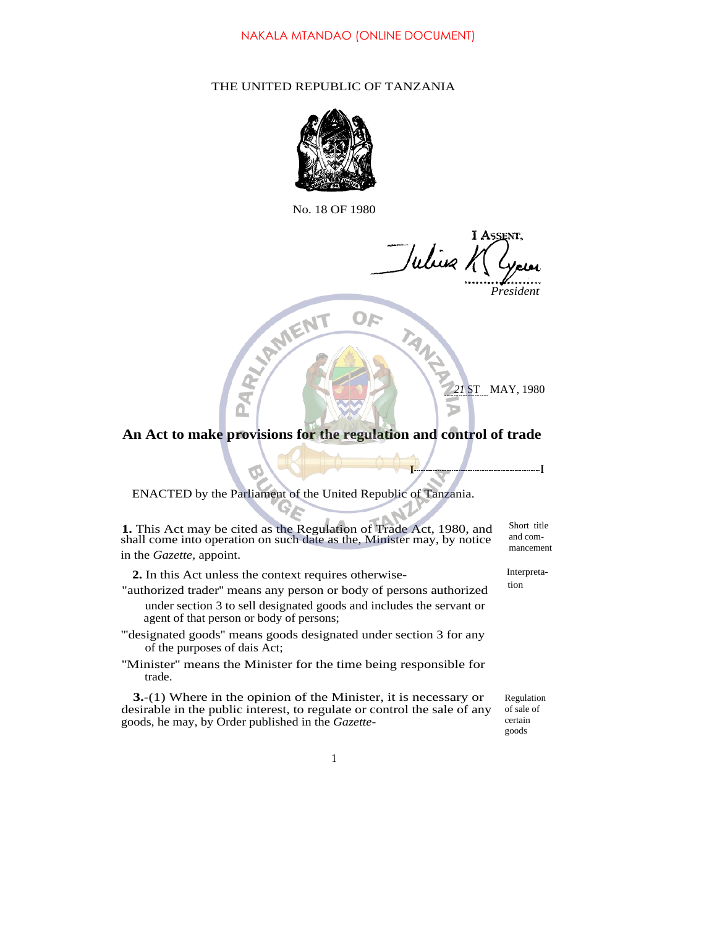## THE UNITED REPUBLIC OF TANZANIA



No. 18 OF 1980

I ASSENT, Wing K

*President*

*21* ST MAY, 1980

**I I**

**An Act to make provisions for the regulation and control of trade**

ENACTED by the Parliament of the United Republic of Tanzania.

MEN

**1.** This Act may be cited as the Regulation of Trade Act, 1980, and shall come into operation on such date as the, Minister may, by notice in the *Gazette,* appoint.

2. In this Act unless the context requires otherwise-<br>
the context research of the context of the context of the context of the context of the context of the context of the context of the context of the context of the cont

- "authorized trader" means any person or body of persons authorized under section 3 to sell designated goods and includes the servant or agent of that person or body of persons;
- '''designated goods'' means goods designated under section 3 for any of the purposes of dais Act;
- ''Minister'' means the Minister for the time being responsible for trade.

**3.**-(1) Where in the opinion of the Minister, it is necessary or desirable in the public interest, to regulate or control the sale of any goods, he may, by Order published in the *Gazette-*

and commancement

Short title

Regulation of sale of certain goods